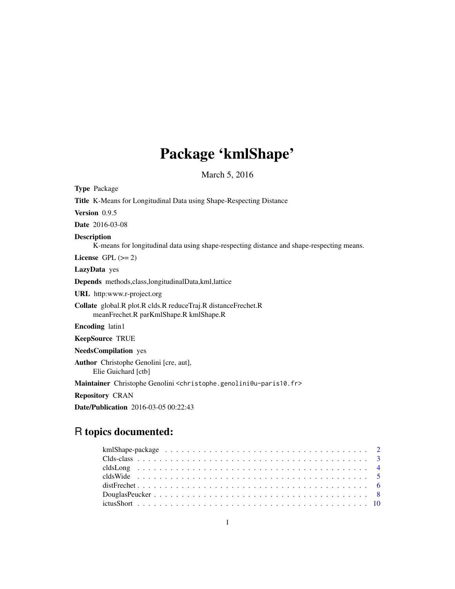# Package 'kmlShape'

March 5, 2016

<span id="page-0-0"></span>

| <b>Type Package</b>                                                                                             |
|-----------------------------------------------------------------------------------------------------------------|
| <b>Title K-Means for Longitudinal Data using Shape-Respecting Distance</b>                                      |
| Version 0.9.5                                                                                                   |
| <b>Date</b> 2016-03-08                                                                                          |
| <b>Description</b><br>K-means for longitudinal data using shape-respecting distance and shape-respecting means. |
| License GPL $(>= 2)$                                                                                            |
| LazyData yes                                                                                                    |
| Depends methods, class, longitudinal Data, kml, lattice                                                         |
| <b>URL</b> http:www.r-project.org                                                                               |
| Collate global.R plot.R clds.R reduceTraj.R distanceFrechet.R<br>meanFrechet.R parKmlShape.R kmlShape.R         |
| <b>Encoding</b> latin1                                                                                          |
| <b>KeepSource TRUE</b>                                                                                          |
| <b>NeedsCompilation</b> yes                                                                                     |
| <b>Author</b> Christophe Genolini [cre, aut],<br>Elie Guichard [ctb]                                            |
| Maintainer Christophe Genolini <christophe.genolini@u-paris10.fr></christophe.genolini@u-paris10.fr>            |
| <b>Repository CRAN</b>                                                                                          |
| Date/Publication 2016-03-05 00:22:43                                                                            |

## R topics documented: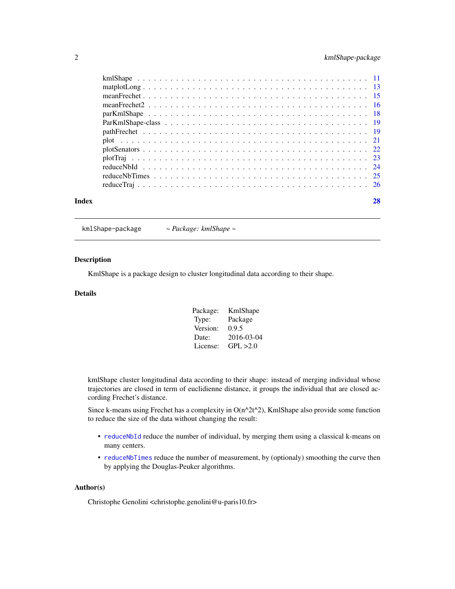### <span id="page-1-0"></span>2 kmlShape-package

| Index |  |
|-------|--|
|       |  |
|       |  |
|       |  |
|       |  |
|       |  |
|       |  |
|       |  |
|       |  |
|       |  |
|       |  |
|       |  |
|       |  |
|       |  |

### kmlShape-package *~ Package: kmlShape ~*

### Description

KmlShape is a package design to cluster longitudinal data according to their shape.

### Details

| Package: | KmlShape   |
|----------|------------|
| Type:    | Package    |
| Version: | 0.9.5      |
| Date:    | 2016-03-04 |
| License: | GPI. > 2.0 |

kmlShape cluster longitudinal data according to their shape: instead of merging individual whose trajectories are closed in term of euclidienne distance, it groups the individual that are closed according Frechet's distance.

Since k-means using Frechet has a complexity in  $O(n^2t^2)$ , KmlShape also provide some function to reduce the size of the data without changing the result:

- [reduceNbId](#page-23-1) reduce the number of individual, by merging them using a classical k-means on many centers.
- [reduceNbTimes](#page-24-1) reduce the number of measurement, by (optionaly) smoothing the curve then by applying the Douglas-Peuker algorithms.

### Author(s)

Christophe Genolini <christophe.genolini@u-paris10.fr>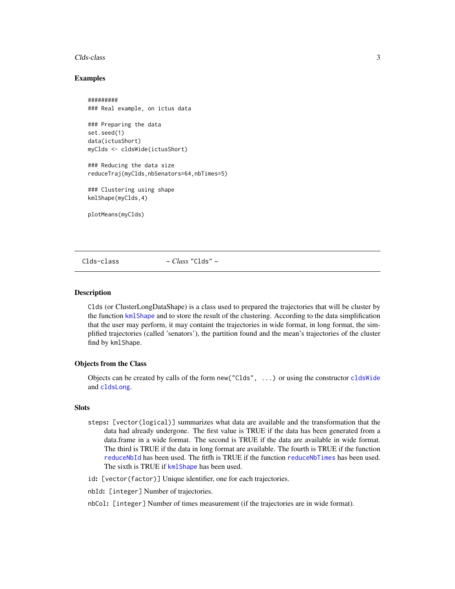#### <span id="page-2-0"></span>Clds-class 3

#### Examples

```
#########
### Real example, on ictus data
### Preparing the data
set.seed(1)
data(ictusShort)
myClds <- cldsWide(ictusShort)
### Reducing the data size
reduceTraj(myClds,nbSenators=64,nbTimes=5)
### Clustering using shape
kmlShape(myClds,4)
plotMeans(myClds)
```
<span id="page-2-1"></span>Clds-class *~ Class* "Clds" *~*

#### **Description**

Clds (or ClusterLongDataShape) is a class used to prepared the trajectories that will be cluster by the function [kmlShape](#page-10-1) and to store the result of the clustering. According to the data simplification that the user may perform, it may containt the trajectories in wide format, in long format, the simplified trajectories (called 'senators'), the partition found and the mean's trajectories of the cluster find by kmlShape.

#### Objects from the Class

Objects can be created by calls of the form new("Clds", ...) or using the constructor [cldsWide](#page-4-1) and [cldsLong](#page-3-1).

#### **Slots**

- steps: [vector(logical)] summarizes what data are available and the transformation that the data had already undergone. The first value is TRUE if the data has been generated from a data.frame in a wide format. The second is TRUE if the data are available in wide format. The third is TRUE if the data in long format are available. The fourth is TRUE if the function [reduceNbId](#page-23-1) has been used. The fitfh is TRUE if the function [reduceNbTimes](#page-24-1) has been used. The sixth is TRUE if [kmlShape](#page-10-1) has been used.
- id: [vector(factor)] Unique identifier, one for each trajectories.

nbId: [integer] Number of trajectories.

nbCol: [integer] Number of times measurement (if the trajectories are in wide format).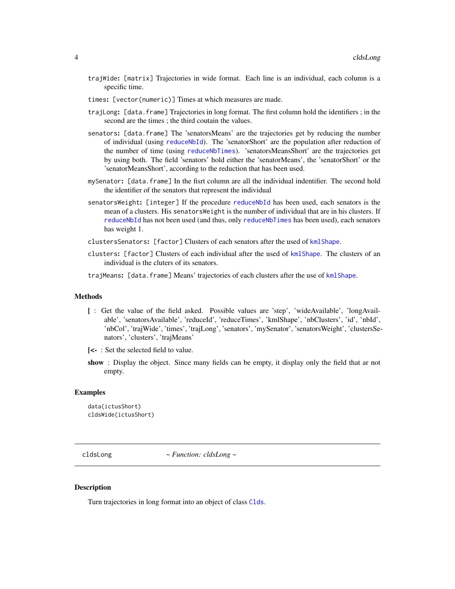- <span id="page-3-0"></span>trajWide: [matrix] Trajectories in wide format. Each line is an individual, each column is a specific time.
- times: [vector(numeric)] Times at which measures are made.
- trajLong: [data.frame] Trajectories in long format. The first column hold the identifiers ; in the second are the times ; the third coutain the values.
- senators: [data.frame] The 'senatorsMeans' are the trajectories get by reducing the number of individual (using [reduceNbId](#page-23-1)). The 'senatorShort' are the population after reduction of the number of time (using [reduceNbTimes](#page-24-1)). 'senatorsMeansShort' are the trajectories get by using both. The field 'senators' hold either the 'senatorMeans', the 'senatorShort' or the 'senatorMeansShort', according to the reduction that has been used.
- mySenator: [data.frame] In the fisrt column are all the individual indentifier. The second hold the identifier of the senators that represent the individual
- senatorsWeight: [integer] If the procedure [reduceNbId](#page-23-1) has been used, each senators is the mean of a clusters. His senatorsWeight is the number of individual that are in his clusters. If [reduceNbId](#page-23-1) has not been used (and thus, only [reduceNbTimes](#page-24-1) has been used), each senators has weight 1.
- clustersSenators: [factor] Clusters of each senators after the used of [kmlShape](#page-10-1).
- clusters: [factor] Clusters of each individual after the used of [kmlShape](#page-10-1). The clusters of an individual is the cluters of its senators.
- trajMeans: [data.frame] Means' trajectories of each clusters after the use of [kmlShape](#page-10-1).

#### Methods

- [ : Get the value of the field asked. Possible values are 'step', 'wideAvailable', 'longAvailable', 'senatorsAvailable', 'reduceId', 'reduceTimes', 'kmlShape', 'nbClusters', 'id', 'nbId', 'nbCol', 'trajWide', 'times', 'trajLong', 'senators', 'mySenator', 'senatorsWeight', 'clustersSenators', 'clusters', 'trajMeans'
- [<- : Set the selected field to value.
- show : Display the object. Since many fields can be empty, it display only the field that ar not empty.

#### Examples

```
data(ictusShort)
cldsWide(ictusShort)
```
<span id="page-3-1"></span>cldsLong *~ Function: cldsLong ~*

#### Description

Turn trajectories in long format into an object of class [Clds](#page-2-1).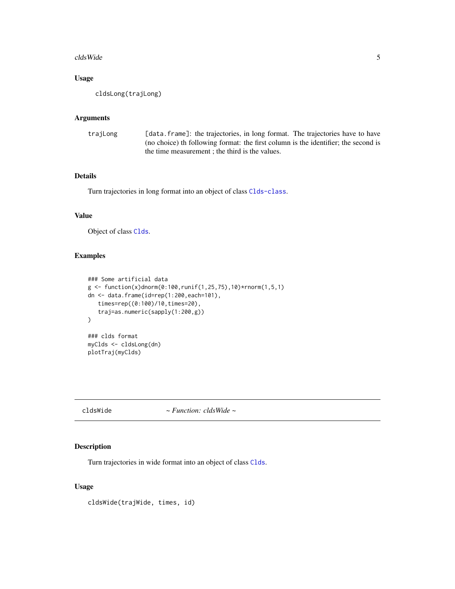#### <span id="page-4-0"></span>cldsWide 5

### Usage

cldsLong(trajLong)

### Arguments

| trajLong | [data.frame]: the trajectories, in long format. The trajectories have to have       |
|----------|-------------------------------------------------------------------------------------|
|          | (no choice) the following format: the first column is the identifier; the second is |
|          | the time measurement; the third is the values.                                      |

### Details

Turn trajectories in long format into an object of class [Clds-class](#page-2-1).

#### Value

Object of class [Clds](#page-2-1).

### Examples

```
### Some artificial data
g \leftarrow function(x)dnorm(0:100,runif(1,25,75),10)*rnorm(1,5,1)
dn <- data.frame(id=rep(1:200,each=101),
   times=rep((0:100)/10,times=20),
   traj=as.numeric(sapply(1:200,g))
\mathcal{L}### clds format
myClds <- cldsLong(dn)
plotTraj(myClds)
```
<span id="page-4-1"></span>cldsWide *~ Function: cldsWide ~*

### Description

Turn trajectories in wide format into an object of class [Clds](#page-2-1).

### Usage

cldsWide(trajWide, times, id)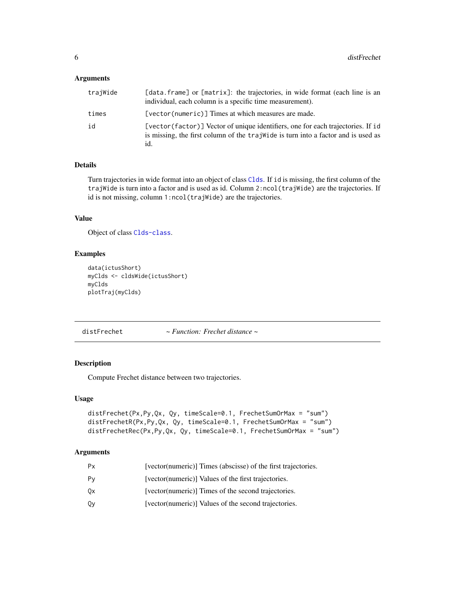### <span id="page-5-0"></span>Arguments

| trajWide | [data.frame] or [matrix]: the trajectories, in wide format (each line is an<br>individual, each column is a specific time measurement).                                     |
|----------|-----------------------------------------------------------------------------------------------------------------------------------------------------------------------------|
| times    | [vector(numeric)] Times at which measures are made.                                                                                                                         |
| id       | [vector(factor)] Vector of unique identifiers, one for each trajectories. If id<br>is missing, the first column of the trajwide is turn into a factor and is used as<br>id. |

### Details

Turn trajectories in wide format into an object of class [Clds](#page-2-1). If id is missing, the first column of the trajWide is turn into a factor and is used as id. Column 2:ncol(trajWide) are the trajectories. If id is not missing, column 1:ncol(trajWide) are the trajectories.

### Value

Object of class [Clds-class](#page-2-1).

### Examples

```
data(ictusShort)
myClds <- cldsWide(ictusShort)
myClds
plotTraj(myClds)
```
<span id="page-5-1"></span>distFrechet *~ Function: Frechet distance ~*

### Description

Compute Frechet distance between two trajectories.

#### Usage

```
distFrechet(Px,Py,Qx, Qy, timeScale=0.1, FrechetSumOrMax = "sum")
distFrechetR(Px,Py,Qx, Qy, timeScale=0.1, FrechetSumOrMax = "sum")
distFrechetRec(Px,Py,Qx, Qy, timeScale=0.1, FrechetSumOrMax = "sum")
```
### Arguments

| Рx | [vector(numeric)] Times (abscisse) of the first trajectories. |
|----|---------------------------------------------------------------|
| Pv | [vector(numeric)] Values of the first trajectories.           |
| 0x | [vector(numeric)] Times of the second trajectories.           |
| Qγ | [vector(numeric)] Values of the second trajectories.          |
|    |                                                               |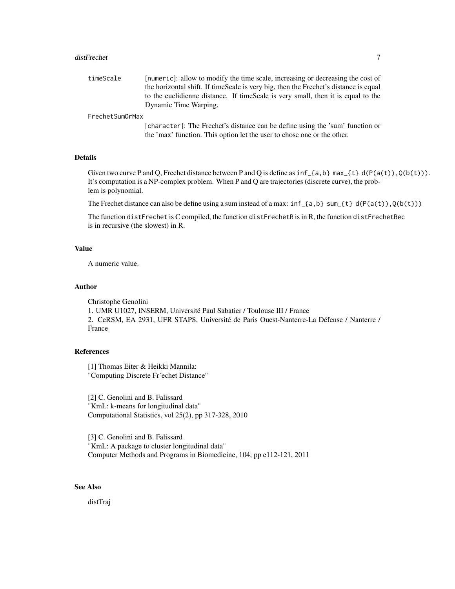#### distFrechet 7

| timeScale | [numeric]: allow to modify the time scale, increasing or decreasing the cost of      |
|-----------|--------------------------------------------------------------------------------------|
|           | the horizontal shift. If timeScale is very big, then the Frechet's distance is equal |
|           | to the euclidienne distance. If timescale is very small, then it is equal to the     |
|           | Dynamic Time Warping.                                                                |

#### FrechetSumOrMax

[character]: The Frechet's distance can be define using the 'sum' function or the 'max' function. This option let the user to chose one or the other.

### Details

Given two curve P and Q, Frechet distance between P and Q is define as  $inf_{a,b}$  max\_{t} d(P(a(t)),Q(b(t))). It's computation is a NP-complex problem. When P and Q are trajectories (discrete curve), the problem is polynomial.

The Frechet distance can also be define using a sum instead of a max:  $inf_{\{a,b\}}$  sum  $\{t\}$  d(P(a(t)),Q(b(t)))

The function distFrechet is C compiled, the function distFrechetR is in R, the function distFrechetRec is in recursive (the slowest) in R.

#### Value

A numeric value.

#### Author

Christophe Genolini 1. UMR U1027, INSERM, Université Paul Sabatier / Toulouse III / France 2. CeRSM, EA 2931, UFR STAPS, Université de Paris Ouest-Nanterre-La Défense / Nanterre / France

### References

[1] Thomas Eiter & Heikki Mannila: "Computing Discrete Fr´echet Distance"

[2] C. Genolini and B. Falissard "KmL: k-means for longitudinal data" Computational Statistics, vol 25(2), pp 317-328, 2010

[3] C. Genolini and B. Falissard "KmL: A package to cluster longitudinal data" Computer Methods and Programs in Biomedicine, 104, pp e112-121, 2011

### See Also

distTraj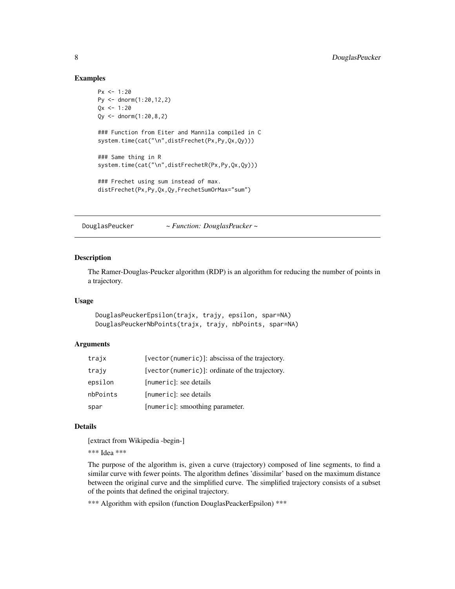#### Examples

```
Px \le -1:20Py <- dnorm(1:20,12,2)
Qx \le -1:20Qy <- dnorm(1:20,8,2)
### Function from Eiter and Mannila compiled in C
system.time(cat("\n",distFrechet(Px,Py,Qx,Qy)))
### Same thing in R
system.time(cat("\n",distFrechetR(Px,Py,Qx,Qy)))
### Frechet using sum instead of max.
distFrechet(Px,Py,Qx,Qy,FrechetSumOrMax="sum")
```
<span id="page-7-1"></span>DouglasPeucker *~ Function: DouglasPeucker ~*

### <span id="page-7-2"></span>Description

The Ramer-Douglas-Peucker algorithm (RDP) is an algorithm for reducing the number of points in a trajectory.

#### Usage

```
DouglasPeuckerEpsilon(trajx, trajy, epsilon, spar=NA)
DouglasPeuckerNbPoints(trajx, trajy, nbPoints, spar=NA)
```
### Arguments

| trajx    | [vector(numeric)]: abscissa of the trajectory. |
|----------|------------------------------------------------|
| trajv    | [vector(numeric)]: ordinate of the trajectory. |
| epsilon  | [numeric]: see details                         |
| nbPoints | [numeric]: see details                         |
| spar     | [numeric]: smoothing parameter.                |

### Details

[extract from Wikipedia -begin-]

\*\*\* Idea \*\*\*

The purpose of the algorithm is, given a curve (trajectory) composed of line segments, to find a similar curve with fewer points. The algorithm defines 'dissimilar' based on the maximum distance between the original curve and the simplified curve. The simplified trajectory consists of a subset of the points that defined the original trajectory.

\*\*\* Algorithm with epsilon (function DouglasPeackerEpsilon) \*\*\*

<span id="page-7-0"></span>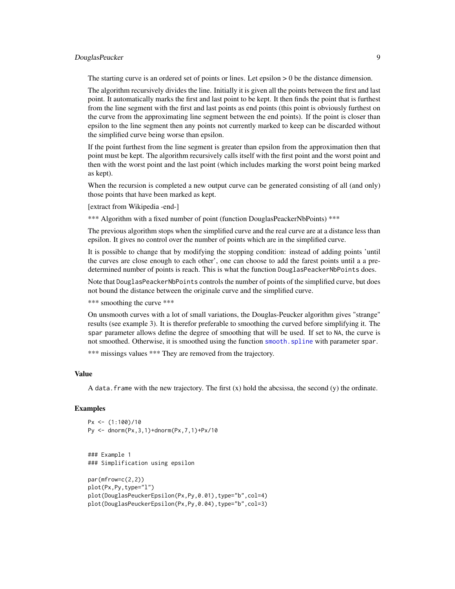### <span id="page-8-0"></span>DouglasPeucker 9

The starting curve is an ordered set of points or lines. Let epsilon  $> 0$  be the distance dimension.

The algorithm recursively divides the line. Initially it is given all the points between the first and last point. It automatically marks the first and last point to be kept. It then finds the point that is furthest from the line segment with the first and last points as end points (this point is obviously furthest on the curve from the approximating line segment between the end points). If the point is closer than epsilon to the line segment then any points not currently marked to keep can be discarded without the simplified curve being worse than epsilon.

If the point furthest from the line segment is greater than epsilon from the approximation then that point must be kept. The algorithm recursively calls itself with the first point and the worst point and then with the worst point and the last point (which includes marking the worst point being marked as kept).

When the recursion is completed a new output curve can be generated consisting of all (and only) those points that have been marked as kept.

[extract from Wikipedia -end-]

\*\*\* Algorithm with a fixed number of point (function DouglasPeackerNbPoints) \*\*\*

The previous algorithm stops when the simplified curve and the real curve are at a distance less than epsilon. It gives no control over the number of points which are in the simplified curve.

It is possible to change that by modifying the stopping condition: instead of adding points 'until the curves are close enough to each other', one can choose to add the farest points until a a predetermined number of points is reach. This is what the function DouglasPeackerNbPoints does.

Note that DouglasPeackerNbPoints controls the number of points of the simplified curve, but does not bound the distance between the originale curve and the simplified curve.

\*\*\* smoothing the curve \*\*\*

On unsmooth curves with a lot of small variations, the Douglas-Peucker algorithm gives "strange" results (see example 3). It is therefor preferable to smoothing the curved before simplifying it. The spar parameter allows define the degree of smoothing that will be used. If set to NA, the curve is not smoothed. Otherwise, it is smoothed using the function [smooth.spline](#page-0-0) with parameter spar.

\*\*\* missings values \*\*\* They are removed from the trajectory.

#### Value

A data. frame with the new trajectory. The first  $(x)$  hold the abcsissa, the second  $(y)$  the ordinate.

### **Examples**

 $Px \le - (1:100)/10$ Py <- dnorm(Px,3,1)+dnorm(Px,7,1)+Px/10

```
### Example 1
### Simplification using epsilon
```

```
par(mfrow=c(2,2))
plot(Px,Py,type="l")
plot(DouglasPeuckerEpsilon(Px,Py,0.01),type="b",col=4)
plot(DouglasPeuckerEpsilon(Px,Py,0.04),type="b",col=3)
```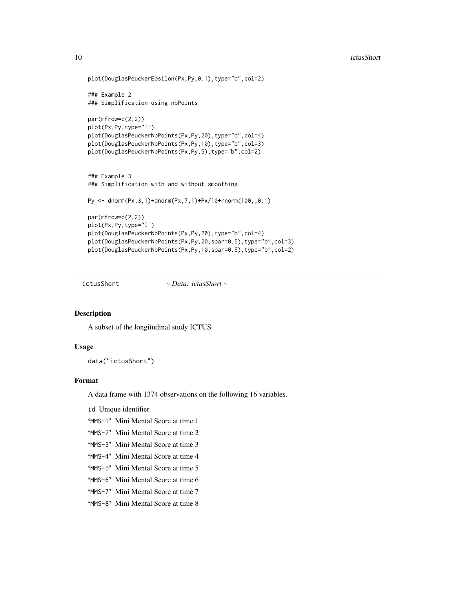```
plot(DouglasPeuckerEpsilon(Px,Py,0.1),type="b",col=2)
### Example 2
### Simplification using nbPoints
par(mfrow=c(2,2))
plot(Px,Py,type="l")
plot(DouglasPeuckerNbPoints(Px,Py,20),type="b",col=4)
plot(DouglasPeuckerNbPoints(Px,Py,10),type="b",col=3)
plot(DouglasPeuckerNbPoints(Px,Py,5),type="b",col=2)
### Example 3
### Simplification with and without smoothing
Py <- dnorm(Px,3,1)+dnorm(Px,7,1)+Px/10+rnorm(100,,0.1)
par(mfrow=c(2,2))
plot(Px,Py,type="l")
plot(DouglasPeuckerNbPoints(Px,Py,20),type="b",col=4)
plot(DouglasPeuckerNbPoints(Px,Py,20,spar=0.5),type="b",col=3)
plot(DouglasPeuckerNbPoints(Px,Py,10,spar=0.5),type="b",col=2)
```
ictusShort *~ Data: ictusShort ~*

### Description

A subset of the longitudinal study ICTUS

#### Usage

data("ictusShort")

### Format

A data frame with 1374 observations on the following 16 variables.

id Unique identifier

- 'MMS-1' Mini Mental Score at time 1
- 'MMS-2' Mini Mental Score at time 2
- 'MMS-3' Mini Mental Score at time 3
- 'MMS-4' Mini Mental Score at time 4
- 'MMS-5' Mini Mental Score at time 5
- 'MMS-6' Mini Mental Score at time 6
- 'MMS-7' Mini Mental Score at time 7
- 'MMS-8' Mini Mental Score at time 8

<span id="page-9-0"></span>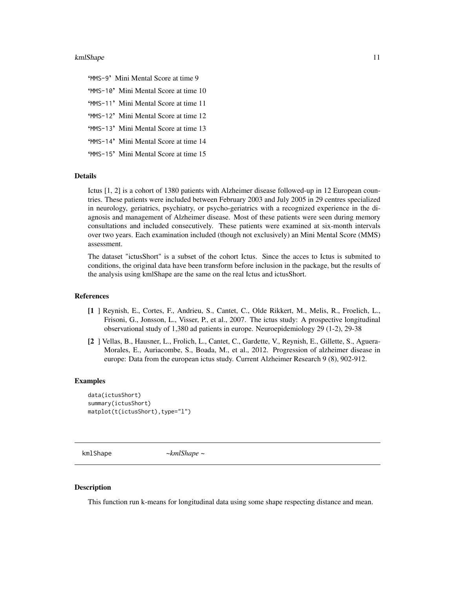#### <span id="page-10-0"></span>kmlShape 11

'MMS-9' Mini Mental Score at time 9 'MMS-10' Mini Mental Score at time 10 'MMS-11' Mini Mental Score at time 11 'MMS-12' Mini Mental Score at time 12 'MMS-13' Mini Mental Score at time 13 'MMS-14' Mini Mental Score at time 14 'MMS-15' Mini Mental Score at time 15

#### Details

Ictus [1, 2] is a cohort of 1380 patients with Alzheimer disease followed-up in 12 European countries. These patients were included between February 2003 and July 2005 in 29 centres specialized in neurology, geriatrics, psychiatry, or psycho-geriatrics with a recognized experience in the diagnosis and management of Alzheimer disease. Most of these patients were seen during memory consultations and included consecutively. These patients were examined at six-month intervals over two years. Each examination included (though not exclusively) an Mini Mental Score (MMS) assessment.

The dataset "ictusShort" is a subset of the cohort Ictus. Since the acces to Ictus is submited to conditions, the original data have been transform before inclusion in the package, but the results of the analysis using kmlShape are the same on the real Ictus and ictusShort.

#### References

- [1 ] Reynish, E., Cortes, F., Andrieu, S., Cantet, C., Olde Rikkert, M., Melis, R., Froelich, L., Frisoni, G., Jonsson, L., Visser, P., et al., 2007. The ictus study: A prospective longitudinal observational study of 1,380 ad patients in europe. Neuroepidemiology 29 (1-2), 29-38
- [2 ] Vellas, B., Hausner, L., Frolich, L., Cantet, C., Gardette, V., Reynish, E., Gillette, S., Aguera-Morales, E., Auriacombe, S., Boada, M., et al., 2012. Progression of alzheimer disease in europe: Data from the european ictus study. Current Alzheimer Research 9 (8), 902-912.

#### Examples

```
data(ictusShort)
summary(ictusShort)
matplot(t(ictusShort),type="l")
```
<span id="page-10-1"></span>kmlShape *~kmlShape ~*

### Description

This function run k-means for longitudinal data using some shape respecting distance and mean.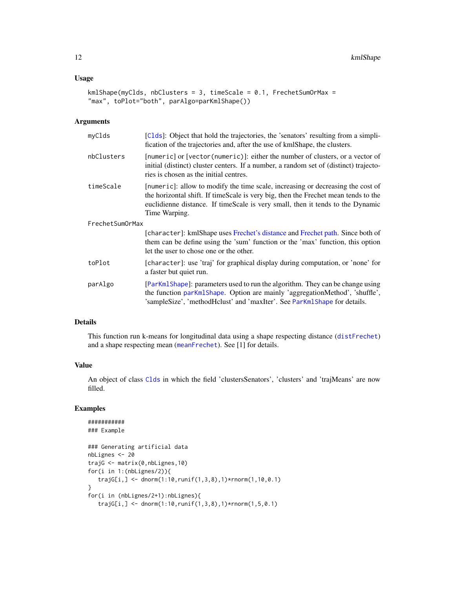### <span id="page-11-0"></span>Usage

```
kmlShape(myClds, nbClusters = 3, timeScale = 0.1, FrechetSumOrMax =
"max", toPlot="both", parAlgo=parKmlShape())
```
#### Arguments

| myClds          | [Clds]: Object that hold the trajectories, the 'senators' resulting from a simpli-<br>fication of the trajectories and, after the use of kmlShape, the clusters.                                                                                                         |
|-----------------|--------------------------------------------------------------------------------------------------------------------------------------------------------------------------------------------------------------------------------------------------------------------------|
| nbClusters      | $[numeric]$ or $[vector(numeric)]$ : either the number of clusters, or a vector of<br>initial (distinct) cluster centers. If a number, a random set of (distinct) trajecto-<br>ries is chosen as the initial centres.                                                    |
| timeScale       | [numeric]: allow to modify the time scale, increasing or decreasing the cost of<br>the horizontal shift. If timeScale is very big, then the Frechet mean tends to the<br>euclidienne distance. If timeScale is very small, then it tends to the Dynamic<br>Time Warping. |
| FrechetSumOrMax |                                                                                                                                                                                                                                                                          |
|                 | [character]: kmlShape uses Frechet's distance and Frechet path. Since both of<br>them can be define using the 'sum' function or the 'max' function, this option<br>let the user to chose one or the other.                                                               |
| toPlot          | [character]: use 'traj' for graphical display during computation, or 'none' for<br>a faster but quiet run.                                                                                                                                                               |
| parAlgo         | [ParKmlShape]: parameters used to run the algorithm. They can be change using<br>the function parKmlShape. Option are mainly 'aggregationMethod', 'shuffle',<br>'sampleSize', 'methodHclust' and 'maxIter'. See ParKmlShape for details.                                 |

### Details

This function run k-means for longitudinal data using a shape respecting distance ([distFrechet](#page-5-1)) and a shape respecting mean ([meanFrechet](#page-14-1)). See [1] for details.

### Value

An object of class [Clds](#page-2-1) in which the field 'clustersSenators', 'clusters' and 'trajMeans' are now filled.

### Examples

```
###########
### Example
### Generating artificial data
nbLignes <- 20
trajG <- matrix(0,nbLignes,10)
for(i in 1:(nbLignes/2)){
   trajG[i,] <- dnorm(1:10,runif(1,3,8),1)*rnorm(1,10,0.1)
}
for(i in (nbLignes/2+1):nbLignes){
   trajG[i,] <- dnorm(1:10,runif(1,3,8),1)*rnorm(1,5,0.1)
```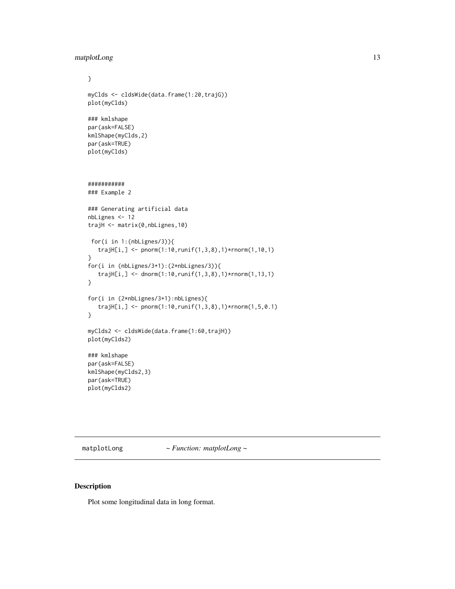```
matplotLong 13
```

```
}
myClds <- cldsWide(data.frame(1:20,trajG))
plot(myClds)
### kmlshape
par(ask=FALSE)
kmlShape(myClds,2)
par(ask=TRUE)
plot(myClds)
###########
### Example 2
### Generating artificial data
nbLignes <- 12
trajH <- matrix(0,nbLignes,10)
 for(i in 1:(nbLignes/3)){
   trajH[i,] <- pnorm(1:10,runif(1,3,8),1)*rnorm(1,10,1)
}
for(i in (nbLignes/3+1):(2*nbLignes/3)){
   trajH[i,] <- dnorm(1:10,runif(1,3,8),1)*rnorm(1,13,1)
}
for(i in (2*nbLignes/3+1):nbLignes){
   trajH[i,] <- pnorm(1:10,runif(1,3,8),1)*rnorm(1,5,0.1)
}
myClds2 <- cldsWide(data.frame(1:60,trajH))
plot(myClds2)
### kmlshape
par(ask=FALSE)
kmlShape(myClds2,3)
par(ask=TRUE)
plot(myClds2)
```
matplotLong *~ Function: matplotLong ~*

### Description

Plot some longitudinal data in long format.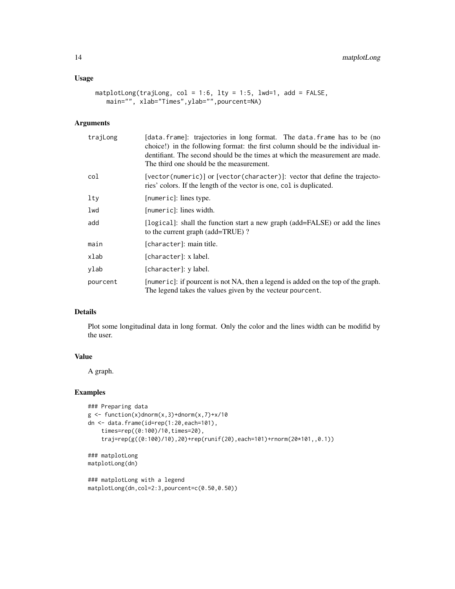### Usage

```
matplotLong(trajLong, col = 1:6, lty = 1:5, lwd=1, add = FALSE,
   main="", xlab="Times",ylab="",pourcent=NA)
```
### Arguments

| trajLong | [data.frame]: trajectories in long format. The data.frame has to be (no<br>choice!) in the following format: the first column should be the individual in-<br>dentifiant. The second should be the times at which the measurement are made.<br>The third one should be the measurement. |
|----------|-----------------------------------------------------------------------------------------------------------------------------------------------------------------------------------------------------------------------------------------------------------------------------------------|
| col      | $[vector(numeric)]$ or $[vector(character)]$ : vector that define the trajecto-<br>ries' colors. If the length of the vector is one, col is duplicated.                                                                                                                                 |
| lty      | [numeric]: lines type.                                                                                                                                                                                                                                                                  |
| lwd      | [numeric]: lines width.                                                                                                                                                                                                                                                                 |
| add      | [logical]: shall the function start a new graph (add=FALSE) or add the lines<br>to the current graph (add=TRUE)?                                                                                                                                                                        |
| main     | [character]: main title.                                                                                                                                                                                                                                                                |
| xlab     | [character]: x label.                                                                                                                                                                                                                                                                   |
| ylab     | [character]: y label.                                                                                                                                                                                                                                                                   |
| pourcent | [numeric]: if pourcent is not NA, then a legend is added on the top of the graph.<br>The legend takes the values given by the vecteur pourcent.                                                                                                                                         |

### Details

Plot some longitudinal data in long format. Only the color and the lines width can be modifid by the user.

#### Value

A graph.

### Examples

```
### Preparing data
g \leftarrow function(x)dnorm(x,3)+dnorm(x,7)+x/10
dn <- data.frame(id=rep(1:20,each=101),
    times=rep((0:100)/10,times=20),
    traj=rep(g((0:100)/10),20)+rep(runif(20),each=101)+rnorm(20*101,,0.1))
### matplotLong
matplotLong(dn)
### matplotLong with a legend
```

```
matplotLong(dn,col=2:3,pourcent=c(0.50,0.50))
```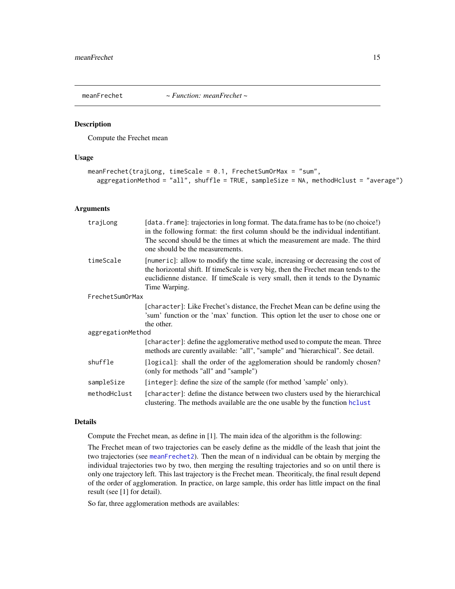<span id="page-14-1"></span><span id="page-14-0"></span>

#### Description

Compute the Frechet mean

#### Usage

```
meanFrechet(trajLong, timeScale = 0.1, FrechetSumOrMax = "sum",
  aggregationMethod = "all", shuffle = TRUE, sampleSize = NA, methodHclust = "average")
```
### Arguments

| trajLong          | [data. frame]: trajectories in long format. The data.frame has to be (no choice!)<br>in the following format: the first column should be the individual indentifiant.<br>The second should be the times at which the measurement are made. The third<br>one should be the measurements. |  |
|-------------------|-----------------------------------------------------------------------------------------------------------------------------------------------------------------------------------------------------------------------------------------------------------------------------------------|--|
| timeScale         | [numeric]: allow to modify the time scale, increasing or decreasing the cost of<br>the horizontal shift. If timeScale is very big, then the Frechet mean tends to the<br>euclidienne distance. If timeScale is very small, then it tends to the Dynamic<br>Time Warping.                |  |
| FrechetSumOrMax   |                                                                                                                                                                                                                                                                                         |  |
|                   | [character]: Like Frechet's distance, the Frechet Mean can be define using the<br>'sum' function or the 'max' function. This option let the user to chose one or<br>the other.                                                                                                          |  |
| aggregationMethod |                                                                                                                                                                                                                                                                                         |  |
|                   | [character]: define the agglomerative method used to compute the mean. Three<br>methods are curently available: "all", "sample" and "hierarchical". See detail.                                                                                                                         |  |
| shuffle           | [logical]: shall the order of the agglomeration should be randomly chosen?<br>(only for methods "all" and "sample")                                                                                                                                                                     |  |
| sampleSize        | [integer]: define the size of the sample (for method 'sample' only).                                                                                                                                                                                                                    |  |
| methodHclust      | [character]: define the distance between two clusters used by the hierarchical<br>clustering. The methods available are the one usable by the function holiest                                                                                                                          |  |

### Details

Compute the Frechet mean, as define in [1]. The main idea of the algorithm is the following:

The Frechet mean of two trajectories can be easely define as the middle of the leash that joint the two trajectories (see [meanFrechet2](#page-15-1)). Then the mean of n individual can be obtain by merging the individual trajectories two by two, then merging the resulting trajectories and so on until there is only one trajectory left. This last trajectory is the Frechet mean. Theoriticaly, the final result depend of the order of agglomeration. In practice, on large sample, this order has little impact on the final result (see [1] for detail).

So far, three agglomeration methods are availables: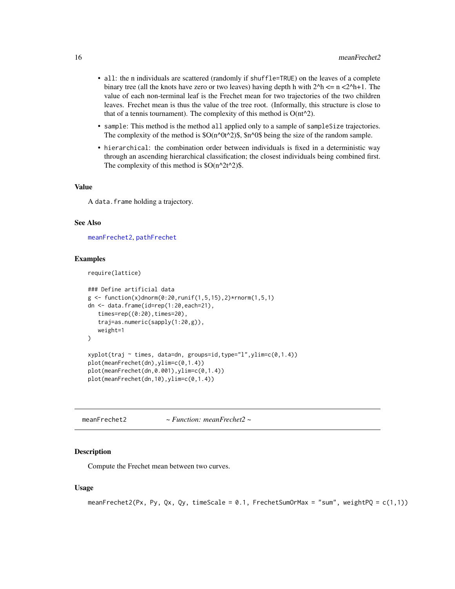- <span id="page-15-0"></span>• all: the n individuals are scattered (randomly if shuffle=TRUE) on the leaves of a complete binary tree (all the knots have zero or two leaves) having depth h with  $2^h$   $\leq$  n  $\lt 2^h$ +1. The value of each non-terminal leaf is the Frechet mean for two trajectories of the two children leaves. Frechet mean is thus the value of the tree root. (Informally, this structure is close to that of a tennis tournament). The complexity of this method is  $O(nt^2)$ .
- sample: This method is the method all applied only to a sample of sampleSize trajectories. The complexity of the method is  $O(n^0t^2)$ \$,  $n^0s$  being the size of the random sample.
- hierarchical: the combination order between individuals is fixed in a deterministic way through an ascending hierarchical classification; the closest individuals being combined first. The complexity of this method is  $O(n^2t^2)$ .

#### Value

A data.frame holding a trajectory.

#### See Also

[meanFrechet2](#page-15-1), [pathFrechet](#page-18-1)

#### Examples

```
require(lattice)
```

```
### Define artificial data
g \leftarrow function(x)dnorm(0:20, runif(1,5,15),2)*rnorm(1,5,1)dn <- data.frame(id=rep(1:20,each=21),
  times=rep((0:20),times=20),
   traj=as.numeric(sapply(1:20,g)),
  weight=1
)
xyplot(traj ~ times, data=dn, groups=id,type="l",ylim=c(0,1.4))
plot(meanFrechet(dn),ylim=c(0,1.4))
plot(meanFrechet(dn,0.001),ylim=c(0,1.4))
plot(meanFrechet(dn,10),ylim=c(0,1.4))
```
<span id="page-15-1"></span>meanFrechet2 *~ Function: meanFrechet2 ~*

#### **Description**

Compute the Frechet mean between two curves.

#### Usage

```
meanFrechet2(Px, Py, Qx, Qy, timeScale = 0.1, FrechetSumOrMax = "sum", weightPQ = c(1,1))
```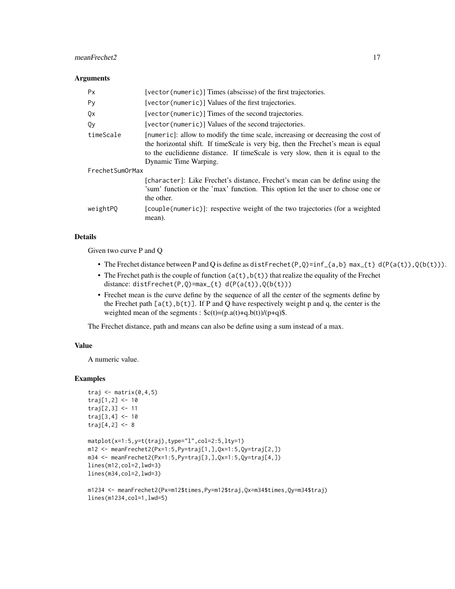### meanFrechet2 17

#### **Arguments**

| <b>Px</b>       | [vector(numeric)] Times (abscisse) of the first trajectories.                                                                                                                                                                                                                   |
|-----------------|---------------------------------------------------------------------------------------------------------------------------------------------------------------------------------------------------------------------------------------------------------------------------------|
| Py              | [vector(numeric)] Values of the first trajectories.                                                                                                                                                                                                                             |
| Qx              | [vector(numeric)] Times of the second trajectories.                                                                                                                                                                                                                             |
| Qy              | [vector(numeric)] Values of the second trajectories.                                                                                                                                                                                                                            |
| timeScale       | [numeric]: allow to modify the time scale, increasing or decreasing the cost of<br>the horizontal shift. If timeScale is very big, then the Frechet's mean is equal<br>to the euclidienne distance. If timeScale is very slow, then it is equal to the<br>Dynamic Time Warping. |
| FrechetSumOrMax |                                                                                                                                                                                                                                                                                 |
|                 | [character]: Like Frechet's distance, Frechet's mean can be define using the<br>'sum' function or the 'max' function. This option let the user to chose one or<br>the other.                                                                                                    |
| weightPO        | [couple(numeric)]: respective weight of the two trajectories (for a weighted<br>mean).                                                                                                                                                                                          |

### Details

Given two curve P and Q

- The Frechet distance between P and Q is define as distFrechet(P,Q)=inf\_{a,b} max\_{t} d(P(a(t)),Q(b(t))).
- The Frechet path is the couple of function  $(a(t),b(t))$  that realize the equality of the Frechet distance: distFrechet(P,Q)=max\_{t} d(P(a(t)), $Q(b(t))$ )
- Frechet mean is the curve define by the sequence of all the center of the segments define by the Frechet path  $[a(t),b(t)]$ . If P and Q have respectively weight p and q, the center is the weighted mean of the segments :  $c(t)=(p.a(t)+q.b(t))/(p+q)\$ .

The Frechet distance, path and means can also be define using a sum instead of a max.

#### Value

A numeric value.

### Examples

```
traj \leq matrix(0, 4, 5)traj[1,2] < -10traj[2,3] <- 11
traj[3,4] <- 10
traj[4,2] < -8matplot(x=1:5,y=t(traj),type="l",col=2:5,lty=1)
m12 <- meanFrechet2(Px=1:5,Py=traj[1,],Qx=1:5,Qy=traj[2,])
m34 <- meanFrechet2(Px=1:5,Py=traj[3,],Qx=1:5,Qy=traj[4,])
lines(m12,col=2,lwd=3)
lines(m34,col=2,lwd=3)
```

```
m1234 <- meanFrechet2(Px=m12$times,Py=m12$traj,Qx=m34$times,Qy=m34$traj)
lines(m1234,col=1,lwd=5)
```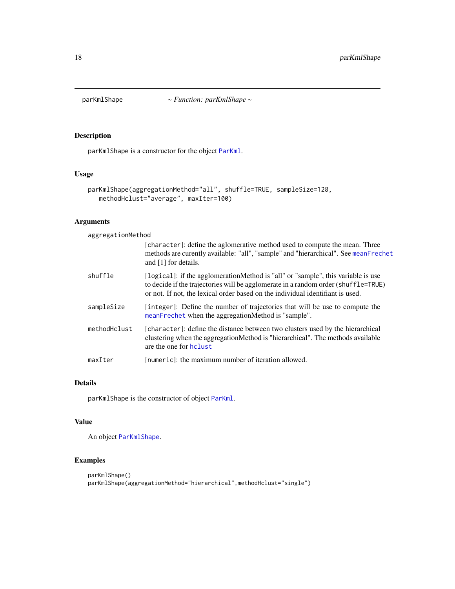<span id="page-17-1"></span><span id="page-17-0"></span>

### Description

parKmlShape is a constructor for the object [ParKml](#page-0-0).

### Usage

```
parKmlShape(aggregationMethod="all", shuffle=TRUE, sampleSize=128,
   methodHclust="average", maxIter=100)
```
### Arguments

aggregationMethod

|              | [character]: define the aglomerative method used to compute the mean. Three<br>methods are curently available: "all", "sample" and "hierarchical". See meanFrechet<br>and [1] for details.                                                               |
|--------------|----------------------------------------------------------------------------------------------------------------------------------------------------------------------------------------------------------------------------------------------------------|
| shuffle      | [logical]: if the agglomerationMethod is "all" or "sample", this variable is use<br>to decide if the trajectories will be agglomerate in a random order (shuffle=TRUE)<br>or not. If not, the lexical order based on the individual identifiant is used. |
| sampleSize   | [integer]: Define the number of trajectories that will be use to compute the<br>meanFrechet when the aggregationMethod is "sample".                                                                                                                      |
| methodHclust | [character]: define the distance between two clusters used by the hierarchical<br>clustering when the aggregationMethod is "hierarchical". The methods available<br>are the one for holust                                                               |
| maxIter      | [numeric]: the maximum number of iteration allowed.                                                                                                                                                                                                      |

#### Details

parKmlShape is the constructor of object [ParKml](#page-0-0).

### Value

An object [ParKmlShape](#page-18-2).

### Examples

```
parKmlShape()
parKmlShape(aggregationMethod="hierarchical",methodHclust="single")
```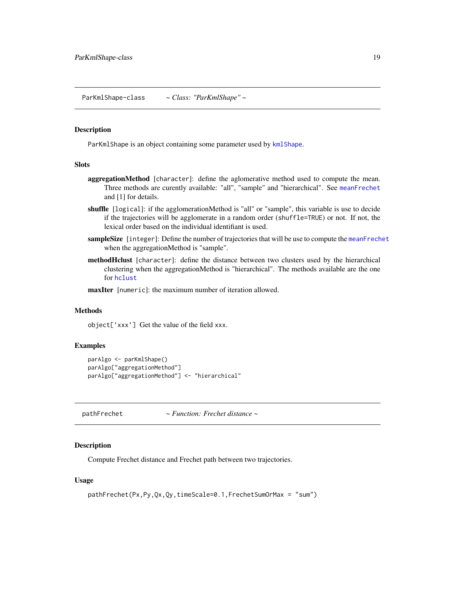<span id="page-18-2"></span><span id="page-18-0"></span>ParKmlShape-class *~ Class: "ParKmlShape" ~*

#### Description

ParKmlShape is an object containing some parameter used by [kmlShape](#page-10-1).

#### Slots

- aggregationMethod [character]: define the aglomerative method used to compute the mean. Three methods are curently available: "all", "sample" and "hierarchical". See [meanFrechet](#page-14-1) and [1] for details.
- shuffle [logical]: if the agglomerationMethod is "all" or "sample", this variable is use to decide if the trajectories will be agglomerate in a random order (shuffle=TRUE) or not. If not, the lexical order based on the individual identifiant is used.
- sampleSize [integer]: Define the number of trajectories that will be use to compute the [meanFrechet](#page-14-1) when the aggregationMethod is "sample".
- **methodHclust** [character]: define the distance between two clusters used by the hierarchical clustering when the aggregationMethod is "hierarchical". The methods available are the one for [hclust](#page-0-0)

maxIter [numeric]: the maximum number of iteration allowed.

### Methods

object['xxx'] Get the value of the field xxx.

#### Examples

```
parAlgo <- parKmlShape()
parAlgo["aggregationMethod"]
parAlgo["aggregationMethod"] <- "hierarchical"
```
<span id="page-18-1"></span>pathFrechet *~ Function: Frechet distance ~*

#### **Description**

Compute Frechet distance and Frechet path between two trajectories.

#### Usage

```
pathFrechet(Px,Py,Qx,Qy,timeScale=0.1,FrechetSumOrMax = "sum")
```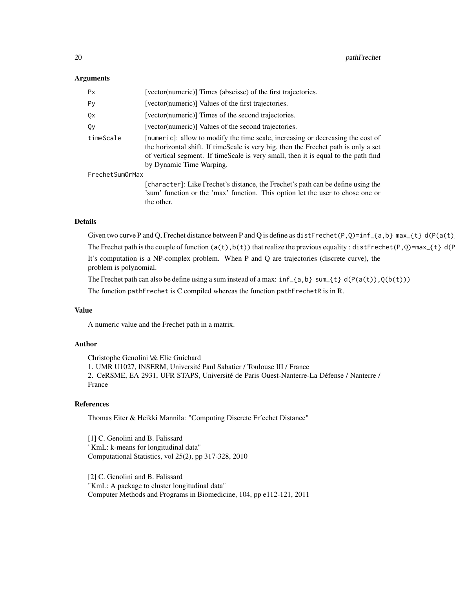#### **Arguments**

| Px              | [vector(numeric)] Times (abscisse) of the first trajectories.                                                                                                                                                                                                                            |
|-----------------|------------------------------------------------------------------------------------------------------------------------------------------------------------------------------------------------------------------------------------------------------------------------------------------|
| Py              | [vector(numeric)] Values of the first trajectories.                                                                                                                                                                                                                                      |
| 0x              | [vector(numeric)] Times of the second trajectories.                                                                                                                                                                                                                                      |
| 0v              | [vector(numeric)] Values of the second trajectories.                                                                                                                                                                                                                                     |
| timeScale       | [numeric]: allow to modify the time scale, increasing or decreasing the cost of<br>the horizontal shift. If timeScale is very big, then the Frechet path is only a set<br>of vertical segment. If timeScale is very small, then it is equal to the path find<br>by Dynamic Time Warping. |
| FrechetSumOrMax |                                                                                                                                                                                                                                                                                          |
|                 | [character]: Like Frechet's distance, the Frechet's path can be define using the<br>'sum' function or the 'max' function. This option let the user to chose one or                                                                                                                       |

#### Details

Given two curve P and Q, Frechet distance between P and Q is define as distFrechet(P,Q)=inf\_{a,b} max\_{t} d(P(a(t)).

The Frechet path is the couple of function ( $a(t)$ , $b(t)$ ) that realize the previous equality : distFrechet(P,Q)=max\_{t} d(F)

It's computation is a NP-complex problem. When P and Q are trajectories (discrete curve), the problem is polynomial.

The Frechet path can also be define using a sum instead of a max:  $inf_{a,b}$  sum {t} d(P(a(t)),Q(b(t)))

The function pathFrechet is C compiled whereas the function pathFrechetR is in R.

### Value

A numeric value and the Frechet path in a matrix.

the other.

### Author

Christophe Genolini \& Elie Guichard 1. UMR U1027, INSERM, Université Paul Sabatier / Toulouse III / France 2. CeRSME, EA 2931, UFR STAPS, Université de Paris Ouest-Nanterre-La Défense / Nanterre / France

### References

Thomas Eiter & Heikki Mannila: "Computing Discrete Fr´echet Distance"

[1] C. Genolini and B. Falissard "KmL: k-means for longitudinal data" Computational Statistics, vol 25(2), pp 317-328, 2010

[2] C. Genolini and B. Falissard "KmL: A package to cluster longitudinal data" Computer Methods and Programs in Biomedicine, 104, pp e112-121, 2011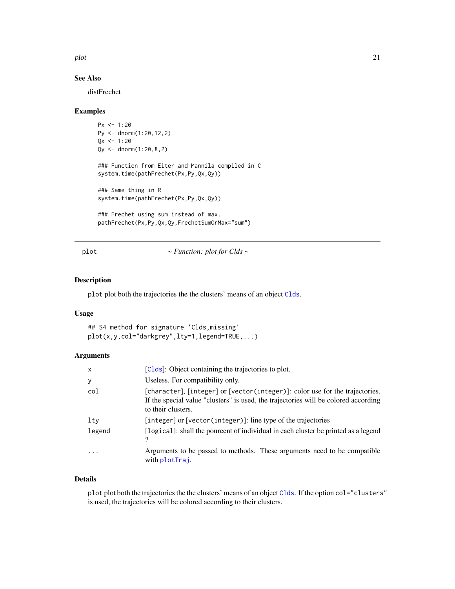<span id="page-20-0"></span>plot 21

### See Also

distFrechet

#### Examples

```
Px \le -1:20Py <- dnorm(1:20,12,2)
Qx \le -1:20Qy \le - dnorm(1:20, 8, 2)### Function from Eiter and Mannila compiled in C
system.time(pathFrechet(Px,Py,Qx,Qy))
### Same thing in R
system.time(pathFrechet(Px,Py,Qx,Qy))
### Frechet using sum instead of max.
pathFrechet(Px,Py,Qx,Qy,FrechetSumOrMax="sum")
```
plot *~ Function: plot for Clds ~*

#### Description

plot plot both the trajectories the the clusters' means of an object [Clds](#page-2-1).

#### Usage

```
## S4 method for signature 'Clds,missing'
plot(x,y,col="darkgrey",lty=1,legend=TRUE,...)
```
### Arguments

| $\mathsf{x}$ | [Clds]: Object containing the trajectories to plot.                                                                                                                                       |
|--------------|-------------------------------------------------------------------------------------------------------------------------------------------------------------------------------------------|
| У            | Useless. For compatibility only.                                                                                                                                                          |
| col          | [character], [integer] or [vector(integer)]: color use for the trajectories.<br>If the special value "clusters" is used, the trajectories will be colored according<br>to their clusters. |
| lty          | [integer] or [vector(integer)]: line type of the trajectories                                                                                                                             |
| legend       | [logical]: shall the pourcent of individual in each cluster be printed as a legend<br>')                                                                                                  |
| $\ddotsc$    | Arguments to be passed to methods. These arguments need to be compatible<br>with plotTraj.                                                                                                |

### Details

plot plot both the trajectories the the clusters' means of an object [Clds](#page-2-1). If the option col="clusters" is used, the trajectories will be colored according to their clusters.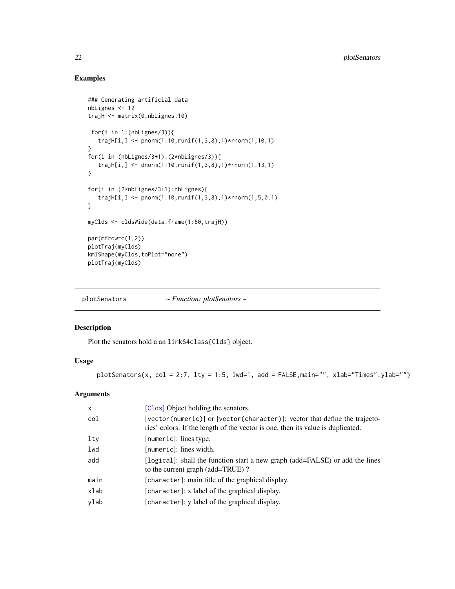### Examples

```
### Generating artificial data
nbLignes <- 12
trajH <- matrix(0,nbLignes,10)
 for(i in 1:(nbLignes/3)){
   trajH[i,] <- pnorm(1:10, runif(1,3,8),1)*rnorm(1,10,1)}
for(i in (nbLignes/3+1):(2*nbLignes/3)){
   trajH[i,] <- dnorm(1:10,runif(1,3,8),1)*rnorm(1,13,1)
}
for(i in (2*nbLignes/3+1):nbLignes){
   trajH[i,] <- pnorm(1:10, runif(1,3,8),1)*norm(1,5,0.1)}
myClds <- cldsWide(data.frame(1:60,trajH))
par(mfrow=c(1,2))
plotTraj(myClds)
kmlShape(myClds,toPlot="none")
plotTraj(myClds)
```
plotSenators *~ Function: plotSenators ~*

### Description

Plot the senators hold a an linkS4class{Clds} object.

### Usage

plotSenators(x, col = 2:7, lty = 1:5, lwd=1, add = FALSE, main="", xlab="Times", ylab="")

#### Arguments

| $\times$ | [Clds] Object holding the senators.                                                                                                                                |
|----------|--------------------------------------------------------------------------------------------------------------------------------------------------------------------|
| col      | $[vector(numeric)]$ or $[vector(character)]$ : vector that define the trajecto-<br>ries' colors. If the length of the vector is one, then its value is duplicated. |
| lty      | [numeric]: lines type.                                                                                                                                             |
| lwd      | [numeric]: lines width.                                                                                                                                            |
| add      | [logical]: shall the function start a new graph (add=FALSE) or add the lines<br>to the current graph (add=TRUE)?                                                   |
| main     | [character]: main title of the graphical display.                                                                                                                  |
| xlab     | [character]: x label of the graphical display.                                                                                                                     |
| ylab     | [character]: y label of the graphical display.                                                                                                                     |

<span id="page-21-0"></span>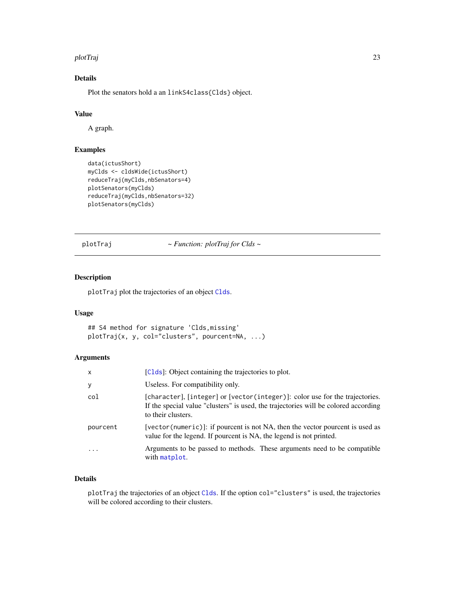#### <span id="page-22-0"></span>plotTraj 23

### Details

Plot the senators hold a an linkS4class{Clds} object.

### Value

A graph.

### Examples

```
data(ictusShort)
myClds <- cldsWide(ictusShort)
reduceTraj(myClds,nbSenators=4)
plotSenators(myClds)
reduceTraj(myClds,nbSenators=32)
plotSenators(myClds)
```
<span id="page-22-1"></span>plotTraj *~ Function: plotTraj for Clds ~*

### Description

plotTraj plot the trajectories of an object [Clds](#page-2-1).

### Usage

```
## S4 method for signature 'Clds,missing'
plotTraj(x, y, col="clusters", pourcent=NA, ...)
```
### Arguments

| x        | [Clds]: Object containing the trajectories to plot.                                                                                                                                       |
|----------|-------------------------------------------------------------------------------------------------------------------------------------------------------------------------------------------|
| У        | Useless. For compatibility only.                                                                                                                                                          |
| col      | [character], [integer] or [vector(integer)]: color use for the trajectories.<br>If the special value "clusters" is used, the trajectories will be colored according<br>to their clusters. |
| pourcent | [vector (numeric)]: if pourcent is not NA, then the vector pourcent is used as<br>value for the legend. If pourcent is NA, the legend is not printed.                                     |
| $\cdot$  | Arguments to be passed to methods. These arguments need to be compatible<br>with matplot.                                                                                                 |

### Details

plotTraj the trajectories of an object [Clds](#page-2-1). If the option col="clusters" is used, the trajectories will be colored according to their clusters.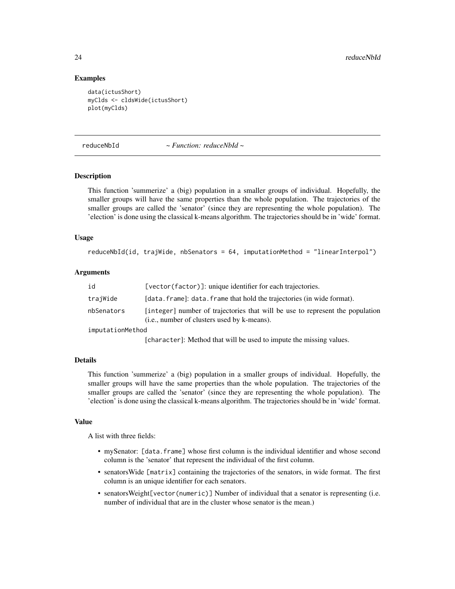#### Examples

```
data(ictusShort)
myClds <- cldsWide(ictusShort)
plot(myClds)
```
<span id="page-23-1"></span>reduceNbId *~ Function: reduceNbId ~*

### Description

This function 'summerize' a (big) population in a smaller groups of individual. Hopefully, the smaller groups will have the same properties than the whole population. The trajectories of the smaller groups are called the 'senator' (since they are representing the whole population). The 'election' is done using the classical k-means algorithm. The trajectories should be in 'wide' format.

#### Usage

```
reduceNbId(id, trajWide, nbSenators = 64, imputationMethod = "linearInterpol")
```
#### Arguments

| id               | [vector(factor)]: unique identifier for each trajectories.                                                                            |
|------------------|---------------------------------------------------------------------------------------------------------------------------------------|
| trajWide         | [data.frame]: data.frame that hold the trajectories (in wide format).                                                                 |
| nbSenators       | [integer] number of trajectories that will be use to represent the population<br>( <i>i.e.</i> , number of clusters used by k-means). |
| imputationMethod |                                                                                                                                       |

[character]: Method that will be used to impute the missing values.

### Details

This function 'summerize' a (big) population in a smaller groups of individual. Hopefully, the smaller groups will have the same properties than the whole population. The trajectories of the smaller groups are called the 'senator' (since they are representing the whole population). The 'election' is done using the classical k-means algorithm. The trajectories should be in 'wide' format.

#### Value

A list with three fields:

- mySenator: [data.frame] whose first column is the individual identifier and whose second column is the 'senator' that represent the individual of the first column.
- senatorsWide [matrix] containing the trajectories of the senators, in wide format. The first column is an unique identifier for each senators.
- senatorsWeight[vector(numeric)] Number of individual that a senator is representing (i.e. number of individual that are in the cluster whose senator is the mean.)

<span id="page-23-0"></span>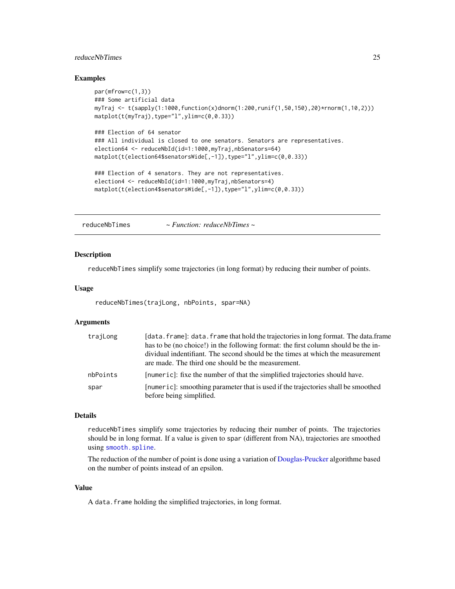### <span id="page-24-0"></span>reduceNbTimes 25

### Examples

```
par(mfrow=c(1,3))
### Some artificial data
myTraj <- t(sapply(1:1000,function(x)dnorm(1:200,runif(1,50,150),20)*rnorm(1,10,2)))
matplot(t(myTraj),type="l",ylim=c(0,0.33))
### Election of 64 senator
### All individual is closed to one senators. Senators are representatives.
election64 <- reduceNbId(id=1:1000,myTraj,nbSenators=64)
matplot(t(election64$senatorsWide[,-1]),type="l",ylim=c(0,0.33))
### Election of 4 senators. They are not representatives.
election4 <- reduceNbId(id=1:1000,myTraj,nbSenators=4)
matplot(t(election4$senatorsWide[,-1]),type="l",ylim=c(0,0.33))
```
<span id="page-24-1"></span>reduceNbTimes *~ Function: reduceNbTimes ~*

#### **Description**

reduceNbTimes simplify some trajectories (in long format) by reducing their number of points.

#### Usage

```
reduceNbTimes(trajLong, nbPoints, spar=NA)
```
#### Arguments

| trajLong | [data.frame]: data.frame that hold the trajectories in long format. The data.frame<br>has to be (no choice!) in the following format: the first column should be the in-<br>dividual indentifiant. The second should be the times at which the measurement<br>are made. The third one should be the measurement. |
|----------|------------------------------------------------------------------------------------------------------------------------------------------------------------------------------------------------------------------------------------------------------------------------------------------------------------------|
| nbPoints | [numeric]: fixe the number of that the simplified trajectories should have.                                                                                                                                                                                                                                      |
| spar     | [numeric]: smoothing parameter that is used if the trajectories shall be smoothed<br>before being simplified.                                                                                                                                                                                                    |

### Details

reduceNbTimes simplify some trajectories by reducing their number of points. The trajectories should be in long format. If a value is given to spar (different from NA), trajectories are smoothed using [smooth.spline](#page-0-0).

The reduction of the number of point is done using a variation of [Douglas-Peucker](#page-7-1) algorithme based on the number of points instead of an epsilon.

### Value

A data.frame holding the simplified trajectories, in long format.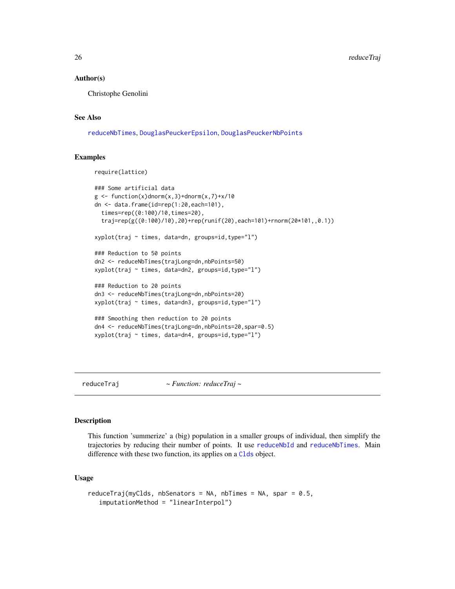#### Author(s)

Christophe Genolini

#### See Also

[reduceNbTimes](#page-24-1), [DouglasPeuckerEpsilon](#page-7-2), [DouglasPeuckerNbPoints](#page-7-2)

#### Examples

```
require(lattice)
```

```
### Some artificial data
g \leftarrow function(x)dnorm(x,3)+dnorm(x,7)+x/10
dn <- data.frame(id=rep(1:20,each=101),
 times=rep((0:100)/10,times=20),
  traj=rep(g((0:100)/10),20)+rep(runif(20),each=101)+rnorm(20*101,,0.1))
xyplot(traj ~ times, data=dn, groups=id,type="l")
### Reduction to 50 points
dn2 <- reduceNbTimes(trajLong=dn,nbPoints=50)
xyplot(traj ~ times, data=dn2, groups=id,type="l")
### Reduction to 20 points
dn3 <- reduceNbTimes(trajLong=dn,nbPoints=20)
xyplot(traj ~ times, data=dn3, groups=id,type="l")
### Smoothing then reduction to 20 points
dn4 <- reduceNbTimes(trajLong=dn,nbPoints=20,spar=0.5)
xyplot(traj ~ times, data=dn4, groups=id,type="l")
```

```
reduceTraj ~ Function: reduceTraj ~
```
### Description

This function 'summerize' a (big) population in a smaller groups of individual, then simplify the trajectories by reducing their number of points. It use [reduceNbId](#page-23-1) and [reduceNbTimes](#page-24-1). Main difference with these two function, its applies on a [Clds](#page-2-1) object.

### Usage

```
reduceTraj(myClds, nbSenators = NA, nbTimes = NA, spar = 0.5,
   imputationMethod = "linearInterpol")
```
<span id="page-25-0"></span>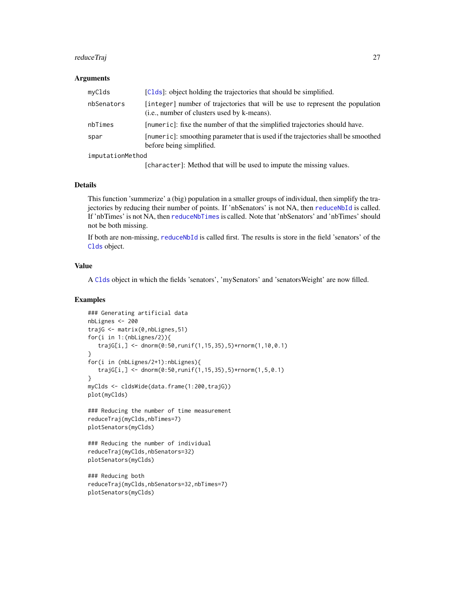#### <span id="page-26-0"></span>reduceTraj 27

#### Arguments

| myClds           | [Clds]: object holding the trajectories that should be simplified.                                                           |
|------------------|------------------------------------------------------------------------------------------------------------------------------|
| nbSenators       | [integer] number of trajectories that will be use to represent the population<br>(i.e., number of clusters used by k-means). |
| nbTimes          | [numeric]: fixe the number of that the simplified trajectories should have.                                                  |
| spar             | [numeric]: smoothing parameter that is used if the trajectories shall be smoothed<br>before being simplified.                |
| imputationMethod |                                                                                                                              |

[character]: Method that will be used to impute the missing values.

### Details

This function 'summerize' a (big) population in a smaller groups of individual, then simplify the trajectories by reducing their number of points. If 'nbSenators' is not NA, then [reduceNbId](#page-23-1) is called. If 'nbTimes' is not NA, then [reduceNbTimes](#page-24-1) is called. Note that 'nbSenators' and 'nbTimes' should not be both missing.

If both are non-missing, [reduceNbId](#page-23-1) is called first. The results is store in the field 'senators' of the [Clds](#page-2-1) object.

### Value

A [Clds](#page-2-1) object in which the fields 'senators', 'mySenators' and 'senatorsWeight' are now filled.

### Examples

```
### Generating artificial data
nbLignes <- 200
trajG <- matrix(0,nbLignes,51)
for(i in 1:(nbLignes/2)){
  trajG[i,] <- dnorm(0:50,runif(1,15,35),5)*rnorm(1,10,0.1)
}
for(i in (nbLignes/2+1):nbLignes){
  trajG[i,] <- dnorm(0:50, runif(1,15,35), 5)*rnorm(1,5,0.1)
}
myClds <- cldsWide(data.frame(1:200,trajG))
plot(myClds)
### Reducing the number of time measurement
reduceTraj(myClds,nbTimes=7)
plotSenators(myClds)
### Reducing the number of individual
reduceTraj(myClds,nbSenators=32)
plotSenators(myClds)
### Reducing both
reduceTraj(myClds,nbSenators=32,nbTimes=7)
plotSenators(myClds)
```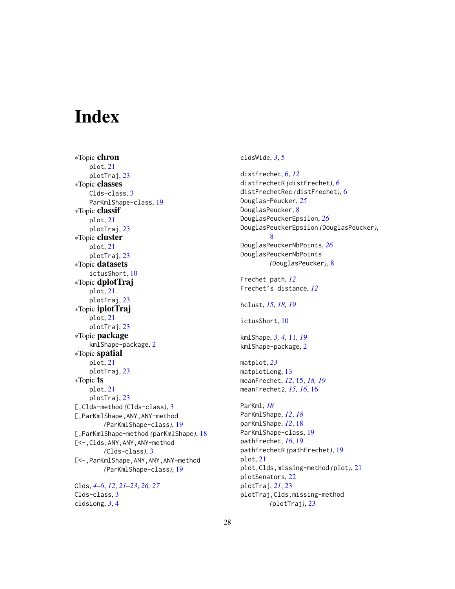## <span id="page-27-0"></span>**Index**

∗Topic chron plot, [21](#page-20-0) plotTraj, [23](#page-22-0) ∗Topic classes Clds-class, [3](#page-2-0) ParKmlShape-class, [19](#page-18-0) ∗Topic classif plot, [21](#page-20-0) plotTraj, [23](#page-22-0) ∗Topic cluster plot, [21](#page-20-0) plotTraj, [23](#page-22-0) ∗Topic datasets ictusShort, [10](#page-9-0) ∗Topic dplotTraj plot, [21](#page-20-0) plotTraj, [23](#page-22-0) ∗Topic iplotTraj plot, [21](#page-20-0) plotTraj, [23](#page-22-0) ∗Topic package kmlShape-package, [2](#page-1-0) ∗Topic spatial plot, [21](#page-20-0) plotTraj, [23](#page-22-0) ∗Topic ts plot, [21](#page-20-0) plotTraj, [23](#page-22-0) [,Clds-method *(*Clds-class*)*, [3](#page-2-0) [,ParKmlShape,ANY,ANY-method *(*ParKmlShape-class*)*, [19](#page-18-0) [,ParKmlShape-method *(*parKmlShape*)*, [18](#page-17-0) [<-,Clds,ANY,ANY,ANY-method *(*Clds-class*)*, [3](#page-2-0) [<-,ParKmlShape,ANY,ANY,ANY-method *(*ParKmlShape-class*)*, [19](#page-18-0) Clds, *[4](#page-3-0)[–6](#page-5-0)*, *[12](#page-11-0)*, *[21](#page-20-0)[–23](#page-22-0)*, *[26,](#page-25-0) [27](#page-26-0)*

Clds-class, [3](#page-2-0) cldsLong, *[3](#page-2-0)*, [4](#page-3-0)

cldsWide, *[3](#page-2-0)*, [5](#page-4-0)

distFrechet, [6,](#page-5-0) *[12](#page-11-0)* distFrechetR *(*distFrechet*)*, [6](#page-5-0) distFrechetRec *(*distFrechet*)*, [6](#page-5-0) Douglas-Peucker, *[25](#page-24-0)* DouglasPeucker, [8](#page-7-0) DouglasPeuckerEpsilon, *[26](#page-25-0)* DouglasPeuckerEpsilon *(*DouglasPeucker*)*, [8](#page-7-0) DouglasPeuckerNbPoints, *[26](#page-25-0)* DouglasPeuckerNbPoints *(*DouglasPeucker*)*, [8](#page-7-0) Frechet path, *[12](#page-11-0)* Frechet's distance, *[12](#page-11-0)* hclust, *[15](#page-14-0)*, *[18,](#page-17-0) [19](#page-18-0)* ictusShort, [10](#page-9-0) kmlShape, *[3,](#page-2-0) [4](#page-3-0)*, [11,](#page-10-0) *[19](#page-18-0)* kmlShape-package, [2](#page-1-0) matplot, *[23](#page-22-0)* matplotLong, [13](#page-12-0) meanFrechet, *[12](#page-11-0)*, [15,](#page-14-0) *[18,](#page-17-0) [19](#page-18-0)* meanFrechet2, *[15,](#page-14-0) [16](#page-15-0)*, [16](#page-15-0) ParKml, *[18](#page-17-0)* ParKmlShape, *[12](#page-11-0)*, *[18](#page-17-0)* parKmlShape, *[12](#page-11-0)*, [18](#page-17-0) ParKmlShape-class, [19](#page-18-0) pathFrechet, *[16](#page-15-0)*, [19](#page-18-0) pathFrechetR *(*pathFrechet*)*, [19](#page-18-0) plot, [21](#page-20-0) plot,Clds,missing-method *(*plot*)*, [21](#page-20-0) plotSenators, [22](#page-21-0) plotTraj, *[21](#page-20-0)*, [23](#page-22-0) plotTraj,Clds,missing-method *(*plotTraj*)*, [23](#page-22-0)